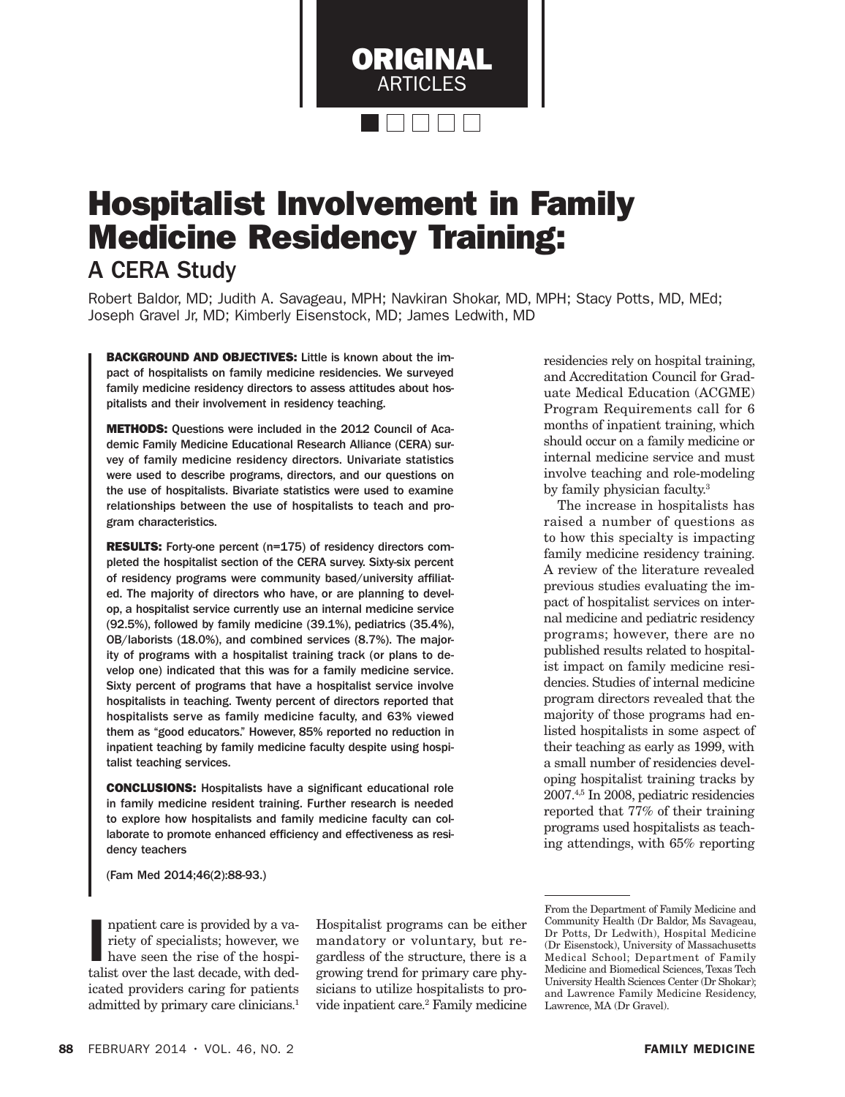

# Hospitalist Involvement in Family Medicine Residency Training:

A CERA Study

Robert Baldor, MD; Judith A. Savageau, MPH; Navkiran Shokar, MD, MPH; Stacy Potts, MD, MEd; Joseph Gravel Jr, MD; Kimberly Eisenstock, MD; James Ledwith, MD

BACKGROUND AND OBJECTIVES: Little is known about the impact of hospitalists on family medicine residencies. We surveyed family medicine residency directors to assess attitudes about hospitalists and their involvement in residency teaching.

METHODS: Questions were included in the 2012 Council of Academic Family Medicine Educational Research Alliance (CERA) survey of family medicine residency directors. Univariate statistics were used to describe programs, directors, and our questions on the use of hospitalists. Bivariate statistics were used to examine relationships between the use of hospitalists to teach and program characteristics.

RESULTS: Forty-one percent (n=175) of residency directors completed the hospitalist section of the CERA survey. Sixty-six percent of residency programs were community based/university affiliated. The majority of directors who have, or are planning to develop, a hospitalist service currently use an internal medicine service (92.5%), followed by family medicine (39.1%), pediatrics (35.4%), OB/laborists (18.0%), and combined services (8.7%). The majority of programs with a hospitalist training track (or plans to develop one) indicated that this was for a family medicine service. Sixty percent of programs that have a hospitalist service involve hospitalists in teaching. Twenty percent of directors reported that hospitalists serve as family medicine faculty, and 63% viewed them as "good educators." However, 85% reported no reduction in inpatient teaching by family medicine faculty despite using hospitalist teaching services.

CONCLUSIONS: Hospitalists have a significant educational role in family medicine resident training. Further research is needed to explore how hospitalists and family medicine faculty can collaborate to promote enhanced efficiency and effectiveness as residency teachers

(Fam Med 2014;46(2):88-93.)

npatient care is provided by a variety of specialists; however, we have seen the rise of the hospitalist over the last decade, with dednpatient care is provided by a variety of specialists; however, we have seen the rise of the hospiicated providers caring for patients admitted by primary care clinicians.<sup>1</sup>

Hospitalist programs can be either mandatory or voluntary, but regardless of the structure, there is a growing trend for primary care physicians to utilize hospitalists to provide inpatient care.2 Family medicine residencies rely on hospital training, and Accreditation Council for Graduate Medical Education (ACGME) Program Requirements call for 6 months of inpatient training, which should occur on a family medicine or internal medicine service and must involve teaching and role-modeling by family physician faculty.3

The increase in hospitalists has raised a number of questions as to how this specialty is impacting family medicine residency training. A review of the literature revealed previous studies evaluating the impact of hospitalist services on internal medicine and pediatric residency programs; however, there are no published results related to hospitalist impact on family medicine residencies. Studies of internal medicine program directors revealed that the majority of those programs had enlisted hospitalists in some aspect of their teaching as early as 1999, with a small number of residencies developing hospitalist training tracks by 2007.4,5 In 2008, pediatric residencies reported that 77% of their training programs used hospitalists as teaching attendings, with 65% reporting

From the Department of Family Medicine and Community Health (Dr Baldor, Ms Savageau, Dr Potts, Dr Ledwith), Hospital Medicine (Dr Eisenstock), University of Massachusetts Medical School; Department of Family Medicine and Biomedical Sciences, Texas Tech University Health Sciences Center (Dr Shokar); and Lawrence Family Medicine Residency, Lawrence, MA (Dr Gravel).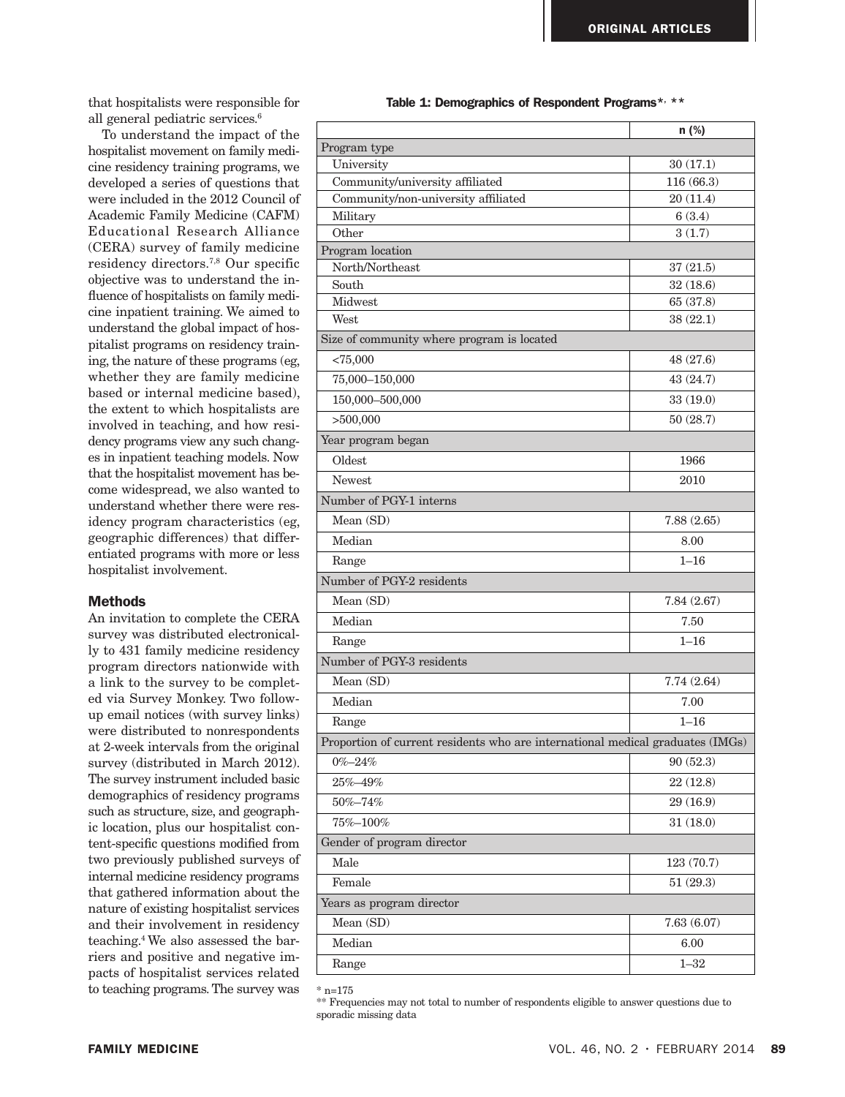that hospitalists were responsible for all general pediatric services.<sup>6</sup>

To understand the impact of the hospitalist movement on family medicine residency training programs, we developed a series of questions that were included in the 2012 Council of Academic Family Medicine (CAFM) Educational Research Alliance (CERA) survey of family medicine residency directors.7,8 Our specific objective was to understand the influence of hospitalists on family medicine inpatient training. We aimed to understand the global impact of hospitalist programs on residency training, the nature of these programs (eg, whether they are family medicine based or internal medicine based), the extent to which hospitalists are involved in teaching, and how residency programs view any such changes in inpatient teaching models. Now that the hospitalist movement has become widespread, we also wanted to understand whether there were residency program characteristics (eg, geographic differences) that differentiated programs with more or less hospitalist involvement.

## **Methods**

An invitation to complete the CERA survey was distributed electronically to 431 family medicine residency program directors nationwide with a link to the survey to be completed via Survey Monkey. Two followup email notices (with survey links) were distributed to nonrespondents at 2-week intervals from the original survey (distributed in March 2012). The survey instrument included basic demographics of residency programs such as structure, size, and geographic location, plus our hospitalist content-specific questions modified from two previously published surveys of internal medicine residency programs that gathered information about the nature of existing hospitalist services and their involvement in residency teaching.4 We also assessed the barriers and positive and negative impacts of hospitalist services related to teaching programs. The survey was

Table 1: Demographics of Respondent Programs\*, \*\*

|                                                                                | $n$ (%)    |  |
|--------------------------------------------------------------------------------|------------|--|
| Program type                                                                   |            |  |
| University                                                                     | 30(17.1)   |  |
| Community/university affiliated                                                | 116 (66.3) |  |
| Community/non-university affiliated                                            | 20(11.4)   |  |
| Military                                                                       | 6(3.4)     |  |
| Other                                                                          | 3(1.7)     |  |
| Program location<br>North/Northeast                                            | 37(21.5)   |  |
| South                                                                          | 32(18.6)   |  |
| Midwest                                                                        | 65 (37.8)  |  |
| West                                                                           | 38(22.1)   |  |
| Size of community where program is located                                     |            |  |
| < 75,000                                                                       | 48 (27.6)  |  |
| 75,000-150,000                                                                 | 43 (24.7)  |  |
| 150,000-500,000                                                                | 33(19.0)   |  |
| >500,000                                                                       | 50(28.7)   |  |
| Year program began                                                             |            |  |
| Oldest                                                                         | 1966       |  |
| <b>Newest</b>                                                                  | 2010       |  |
| Number of PGY-1 interns                                                        |            |  |
| Mean (SD)                                                                      | 7.88(2.65) |  |
| Median                                                                         | 8.00       |  |
| Range                                                                          | $1 - 16$   |  |
| Number of PGY-2 residents                                                      |            |  |
| Mean (SD)                                                                      | 7.84(2.67) |  |
| Median                                                                         | 7.50       |  |
| Range                                                                          | $1 - 16$   |  |
| Number of PGY-3 residents                                                      |            |  |
| Mean (SD)                                                                      | 7.74(2.64) |  |
| Median                                                                         | 7.00       |  |
| Range                                                                          | $1 - 16$   |  |
| Proportion of current residents who are international medical graduates (IMGs) |            |  |
| $0\% - 24\%$                                                                   | 90(52.3)   |  |
| 25%-49%                                                                        | 22(12.8)   |  |
| 50%-74%                                                                        | 29 (16.9)  |  |
| 75%-100%                                                                       | 31(18.0)   |  |
| Gender of program director                                                     |            |  |
| Male                                                                           | 123 (70.7) |  |
| Female                                                                         | 51(29.3)   |  |
| Years as program director                                                      |            |  |
| Mean (SD)                                                                      | 7.63(6.07) |  |
| Median                                                                         | 6.00       |  |
| Range                                                                          | $1 - 32$   |  |

 $*$  n=175

\*\* Frequencies may not total to number of respondents eligible to answer questions due to sporadic missing data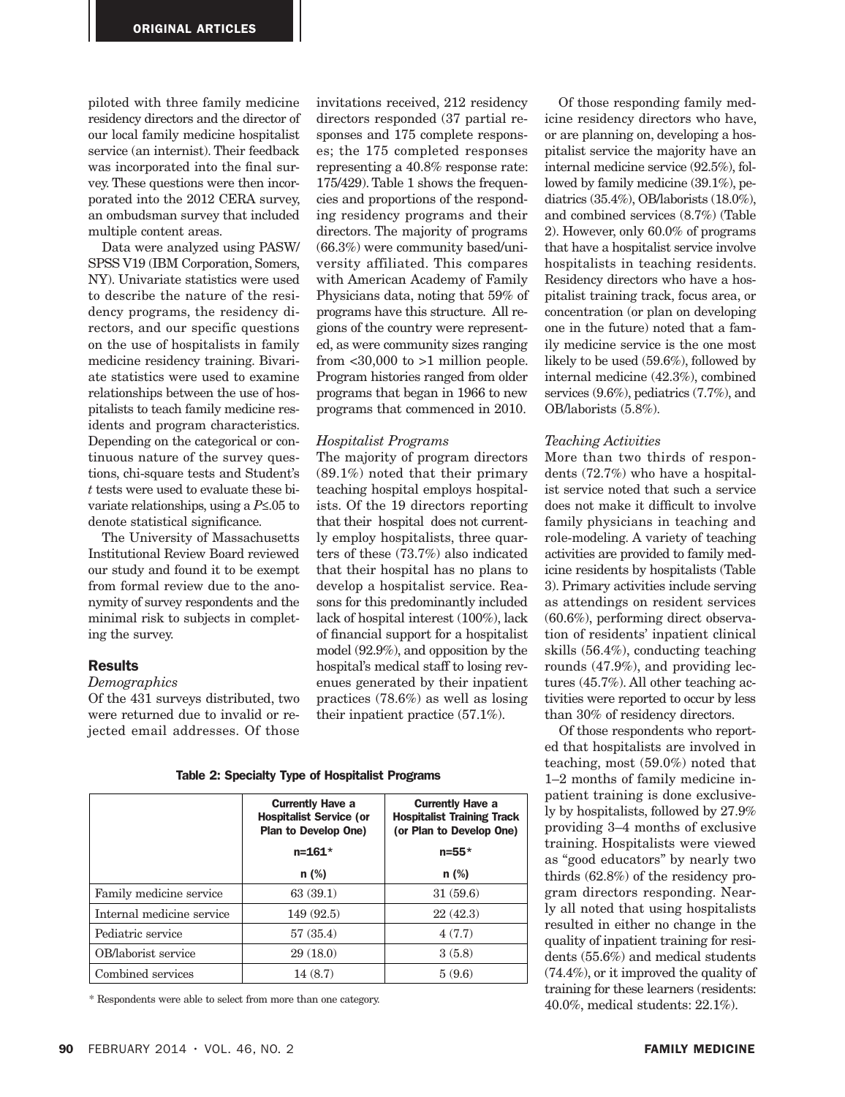piloted with three family medicine residency directors and the director of our local family medicine hospitalist service (an internist). Their feedback was incorporated into the final survey. These questions were then incorporated into the 2012 CERA survey, an ombudsman survey that included multiple content areas.

Data were analyzed using PASW/ SPSS V19 (IBM Corporation, Somers, NY). Univariate statistics were used to describe the nature of the residency programs, the residency directors, and our specific questions on the use of hospitalists in family medicine residency training. Bivariate statistics were used to examine relationships between the use of hospitalists to teach family medicine residents and program characteristics. Depending on the categorical or continuous nature of the survey questions, chi-square tests and Student's *t* tests were used to evaluate these bivariate relationships, using a *P*≤.05 to denote statistical significance.

The University of Massachusetts Institutional Review Board reviewed our study and found it to be exempt from formal review due to the anonymity of survey respondents and the minimal risk to subjects in completing the survey.

#### Results

#### *Demographics*

Of the 431 surveys distributed, two were returned due to invalid or rejected email addresses. Of those invitations received, 212 residency directors responded (37 partial responses and 175 complete responses; the 175 completed responses representing a 40.8% response rate: 175/429). Table 1 shows the frequencies and proportions of the responding residency programs and their directors. The majority of programs (66.3%) were community based/university affiliated. This compares with American Academy of Family Physicians data, noting that 59% of programs have this structure. All regions of the country were represented, as were community sizes ranging from  $<30,000$  to  $>1$  million people. Program histories ranged from older programs that began in 1966 to new programs that commenced in 2010.

## *Hospitalist Programs*

The majority of program directors (89.1%) noted that their primary teaching hospital employs hospitalists. Of the 19 directors reporting that their hospital does not currently employ hospitalists, three quarters of these (73.7%) also indicated that their hospital has no plans to develop a hospitalist service. Reasons for this predominantly included lack of hospital interest (100%), lack of financial support for a hospitalist model (92.9%), and opposition by the hospital's medical staff to losing revenues generated by their inpatient practices (78.6%) as well as losing their inpatient practice (57.1%).

|                           | <b>Currently Have a</b><br><b>Hospitalist Service (or</b><br><b>Plan to Develop One)</b> | <b>Currently Have a</b><br><b>Hospitalist Training Track</b><br>(or Plan to Develop One) |
|---------------------------|------------------------------------------------------------------------------------------|------------------------------------------------------------------------------------------|
|                           | $n = 161*$                                                                               | $n = 55*$                                                                                |
|                           | $n$ (%)                                                                                  | $n$ (%)                                                                                  |
| Family medicine service   | 63(39.1)                                                                                 | 31(59.6)                                                                                 |
| Internal medicine service | 149(92.5)                                                                                | 22(42.3)                                                                                 |
| Pediatric service         | 57(35.4)                                                                                 | 4(7.7)                                                                                   |
| OB/laborist service       | 29(18.0)                                                                                 | 3(5.8)                                                                                   |
| Combined services         | 14(8.7)                                                                                  | 5(9.6)                                                                                   |

Table 2: Specialty Type of Hospitalist Programs

\* Respondents were able to select from more than one category.

Of those responding family medicine residency directors who have, or are planning on, developing a hospitalist service the majority have an internal medicine service (92.5%), followed by family medicine (39.1%), pediatrics (35.4%), OB/laborists (18.0%), and combined services (8.7%) (Table 2). However, only 60.0% of programs that have a hospitalist service involve hospitalists in teaching residents. Residency directors who have a hospitalist training track, focus area, or concentration (or plan on developing one in the future) noted that a family medicine service is the one most likely to be used (59.6%), followed by internal medicine (42.3%), combined services (9.6%), pediatrics (7.7%), and OB/laborists (5.8%).

## *Teaching Activities*

More than two thirds of respondents (72.7%) who have a hospitalist service noted that such a service does not make it difficult to involve family physicians in teaching and role-modeling. A variety of teaching activities are provided to family medicine residents by hospitalists (Table 3). Primary activities include serving as attendings on resident services (60.6%), performing direct observation of residents' inpatient clinical skills (56.4%), conducting teaching rounds (47.9%), and providing lectures (45.7%). All other teaching activities were reported to occur by less than 30% of residency directors.

Of those respondents who reported that hospitalists are involved in teaching, most (59.0%) noted that 1–2 months of family medicine inpatient training is done exclusively by hospitalists, followed by 27.9% providing 3–4 months of exclusive training. Hospitalists were viewed as "good educators" by nearly two thirds (62.8%) of the residency program directors responding. Nearly all noted that using hospitalists resulted in either no change in the quality of inpatient training for residents (55.6%) and medical students (74.4%), or it improved the quality of training for these learners (residents: 40.0%, medical students: 22.1%).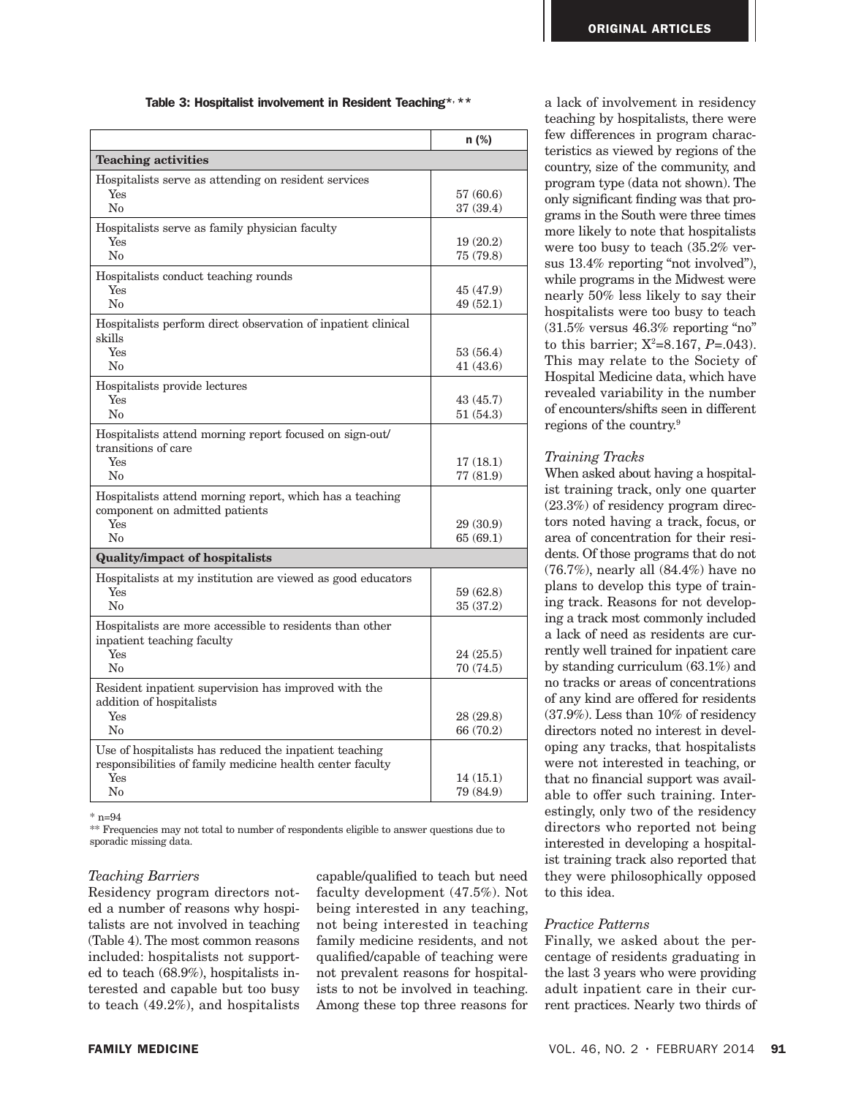## Table 3: Hospitalist involvement in Resident Teaching\*, \*\*

|                                                                                                                                  | n (%)                 |
|----------------------------------------------------------------------------------------------------------------------------------|-----------------------|
| <b>Teaching activities</b>                                                                                                       |                       |
| Hospitalists serve as attending on resident services<br>Yes<br>No                                                                | 57 (60.6)<br>37(39.4) |
| Hospitalists serve as family physician faculty<br>Yes<br>No                                                                      | 19(20.2)<br>75 (79.8) |
| Hospitalists conduct teaching rounds<br>Yes<br>No                                                                                | 45 (47.9)<br>49(52.1) |
| Hospitalists perform direct observation of inpatient clinical<br>skills<br>Yes<br>$\rm No$                                       | 53(56.4)<br>41(43.6)  |
| Hospitalists provide lectures<br>Yes<br>No                                                                                       | 43(45.7)<br>51(54.3)  |
| Hospitalists attend morning report focused on sign-out/<br>transitions of care<br>Yes<br>No                                      | 17(18.1)<br>77 (81.9) |
| Hospitalists attend morning report, which has a teaching<br>component on admitted patients<br>Yes<br>No                          | 29 (30.9)<br>65(69.1) |
| <b>Quality/impact of hospitalists</b>                                                                                            |                       |
| Hospitalists at my institution are viewed as good educators<br>Yes<br>No                                                         | 59 (62.8)<br>35(37.2) |
| Hospitalists are more accessible to residents than other<br>inpatient teaching faculty<br>Yes<br>No                              | 24(25.5)<br>70 (74.5) |
| Resident inpatient supervision has improved with the<br>addition of hospitalists<br><b>Yes</b><br>No                             | 28(29.8)<br>66 (70.2) |
| Use of hospitalists has reduced the inpatient teaching<br>responsibilities of family medicine health center faculty<br>Yes<br>No | 14(15.1)<br>79 (84.9) |

 $*$  n=94

\*\* Frequencies may not total to number of respondents eligible to answer questions due to sporadic missing data.

#### *Teaching Barriers*

Residency program directors noted a number of reasons why hospitalists are not involved in teaching (Table 4). The most common reasons included: hospitalists not supported to teach (68.9%), hospitalists interested and capable but too busy to teach (49.2%), and hospitalists

capable/qualified to teach but need faculty development (47.5%). Not being interested in any teaching, not being interested in teaching family medicine residents, and not qualified/capable of teaching were not prevalent reasons for hospitalists to not be involved in teaching. Among these top three reasons for

a lack of involvement in residency teaching by hospitalists, there were few differences in program characteristics as viewed by regions of the country, size of the community, and program type (data not shown). The only significant finding was that programs in the South were three times more likely to note that hospitalists were too busy to teach (35.2% versus 13.4% reporting "not involved"), while programs in the Midwest were nearly 50% less likely to say their hospitalists were too busy to teach  $(31.5\%$  versus  $46.3\%$  reporting "no" to this barrier;  $X^2=8.167$ ,  $P=.043$ ). This may relate to the Society of Hospital Medicine data, which have revealed variability in the number of encounters/shifts seen in different regions of the country.9

# *Training Tracks*

When asked about having a hospitalist training track, only one quarter (23.3%) of residency program directors noted having a track, focus, or area of concentration for their residents. Of those programs that do not (76.7%), nearly all (84.4%) have no plans to develop this type of training track. Reasons for not developing a track most commonly included a lack of need as residents are currently well trained for inpatient care by standing curriculum (63.1%) and no tracks or areas of concentrations of any kind are offered for residents (37.9%). Less than 10% of residency directors noted no interest in developing any tracks, that hospitalists were not interested in teaching, or that no financial support was available to offer such training. Interestingly, only two of the residency directors who reported not being interested in developing a hospitalist training track also reported that they were philosophically opposed to this idea.

# *Practice Patterns*

Finally, we asked about the percentage of residents graduating in the last 3 years who were providing adult inpatient care in their current practices. Nearly two thirds of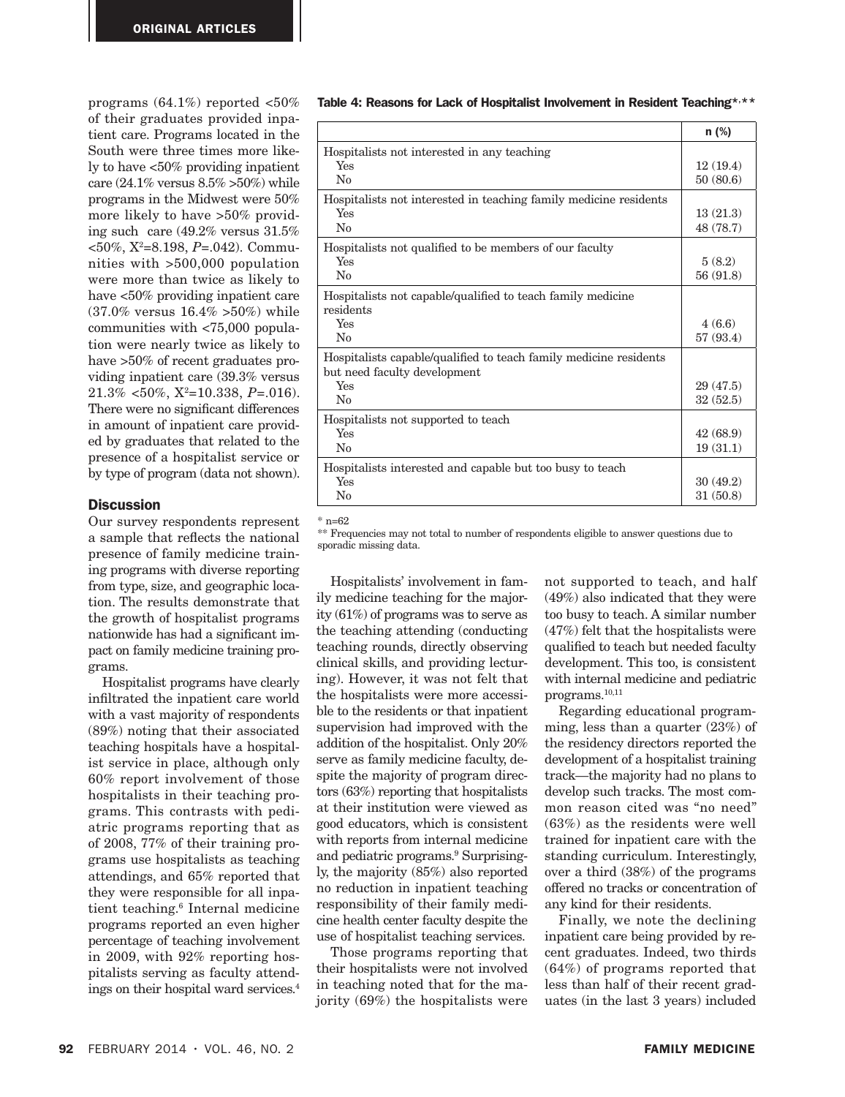programs  $(64.1\%)$  reported  $<50\%$ of their graduates provided inpatient care. Programs located in the South were three times more likely to have <50% providing inpatient care (24.1% versus 8.5% >50%) while programs in the Midwest were 50% more likely to have >50% providing such care (49.2% versus 31.5% <50%, X2 =8.198, *P*=.042). Communities with >500,000 population were more than twice as likely to have <50% providing inpatient care (37.0% versus 16.4% >50%) while communities with <75,000 population were nearly twice as likely to have >50% of recent graduates providing inpatient care (39.3% versus 21.3% <50%, X2=10.338, *P*=.016). There were no significant differences in amount of inpatient care provided by graduates that related to the presence of a hospitalist service or by type of program (data not shown).

## **Discussion**

Our survey respondents represent a sample that reflects the national presence of family medicine training programs with diverse reporting from type, size, and geographic location. The results demonstrate that the growth of hospitalist programs nationwide has had a significant impact on family medicine training programs.

Hospitalist programs have clearly infiltrated the inpatient care world with a vast majority of respondents (89%) noting that their associated teaching hospitals have a hospitalist service in place, although only 60% report involvement of those hospitalists in their teaching programs. This contrasts with pediatric programs reporting that as of 2008, 77% of their training programs use hospitalists as teaching attendings, and 65% reported that they were responsible for all inpatient teaching.<sup>6</sup> Internal medicine programs reported an even higher percentage of teaching involvement in 2009, with 92% reporting hospitalists serving as faculty attendings on their hospital ward services.4

#### Table 4: Reasons for Lack of Hospitalist Involvement in Resident Teaching\*,\*\*

|                                                                                                   | $n$ (%)   |
|---------------------------------------------------------------------------------------------------|-----------|
| Hospitalists not interested in any teaching                                                       |           |
| Yes                                                                                               | 12(19.4)  |
| No                                                                                                | 50(80.6)  |
| Hospitalists not interested in teaching family medicine residents                                 |           |
| Yes                                                                                               | 13(21.3)  |
| $\rm No$                                                                                          | 48 (78.7) |
| Hospitalists not qualified to be members of our faculty                                           |           |
| Yes                                                                                               | 5(8.2)    |
| $\rm No$                                                                                          | 56 (91.8) |
| Hospitalists not capable/qualified to teach family medicine<br>residents                          |           |
| Yes                                                                                               | 4(6.6)    |
| $\rm No$                                                                                          | 57 (93.4) |
| Hospitalists capable/qualified to teach family medicine residents<br>but need faculty development |           |
| Yes                                                                                               | 29(47.5)  |
| $\rm No$                                                                                          | 32(52.5)  |
| Hospitalists not supported to teach                                                               |           |
| Yes                                                                                               | 42(68.9)  |
| $\rm No$                                                                                          | 19(31.1)  |
| Hospitalists interested and capable but too busy to teach                                         |           |
| Yes                                                                                               | 30(49.2)  |
| $\rm No$                                                                                          | 31(50.8)  |

 $*$  n=62

\*\* Frequencies may not total to number of respondents eligible to answer questions due to sporadic missing data.

Hospitalists' involvement in family medicine teaching for the majority (61%) of programs was to serve as the teaching attending (conducting teaching rounds, directly observing clinical skills, and providing lecturing). However, it was not felt that the hospitalists were more accessible to the residents or that inpatient supervision had improved with the addition of the hospitalist. Only 20% serve as family medicine faculty, despite the majority of program directors (63%) reporting that hospitalists at their institution were viewed as good educators, which is consistent with reports from internal medicine and pediatric programs.9 Surprisingly, the majority (85%) also reported no reduction in inpatient teaching responsibility of their family medicine health center faculty despite the use of hospitalist teaching services.

Those programs reporting that their hospitalists were not involved in teaching noted that for the majority (69%) the hospitalists were

not supported to teach, and half (49%) also indicated that they were too busy to teach. A similar number (47%) felt that the hospitalists were qualified to teach but needed faculty development. This too, is consistent with internal medicine and pediatric programs.10,11

Regarding educational programming, less than a quarter (23%) of the residency directors reported the development of a hospitalist training track—the majority had no plans to develop such tracks. The most common reason cited was "no need" (63%) as the residents were well trained for inpatient care with the standing curriculum. Interestingly, over a third (38%) of the programs offered no tracks or concentration of any kind for their residents.

Finally, we note the declining inpatient care being provided by recent graduates. Indeed, two thirds (64%) of programs reported that less than half of their recent graduates (in the last 3 years) included